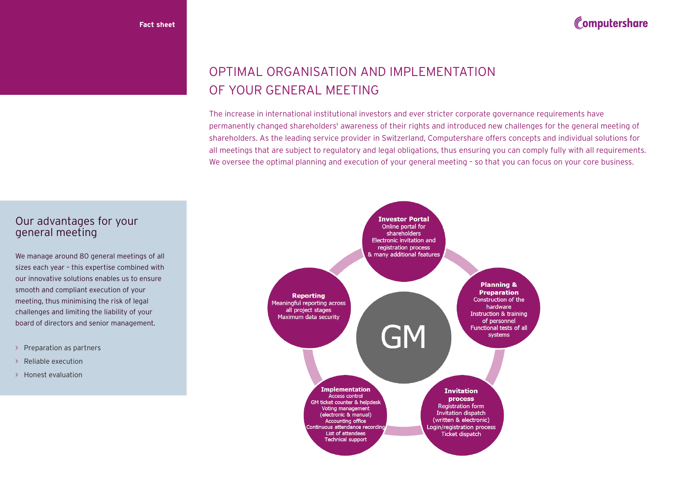## Computershare

# OPTIMAL ORGANISATION AND IMPLEMENTATION OF YOUR GENERAL MEETING

The increase in international institutional investors and ever stricter corporate governance requirements have permanently changed shareholders' awareness of their rights and introduced new challenges for the general meeting of shareholders. As the leading service provider in Switzerland, Computershare offers concepts and individual solutions for all meetings that are subject to regulatory and legal obligations, thus ensuring you can comply fully with all requirements. We oversee the optimal planning and execution of your general meeting - so that you can focus on your core business.



### Our advantages for your general meeting

We manage around 80 general meetings of all sizes each year – this expertise combined with our innovative solutions enables us to ensure smooth and compliant execution of your meeting, thus minimising the risk of legal challenges and limiting the liability of your board of directors and senior management.

- > Preparation as partners
- > Reliable execution
- > Honest evaluation